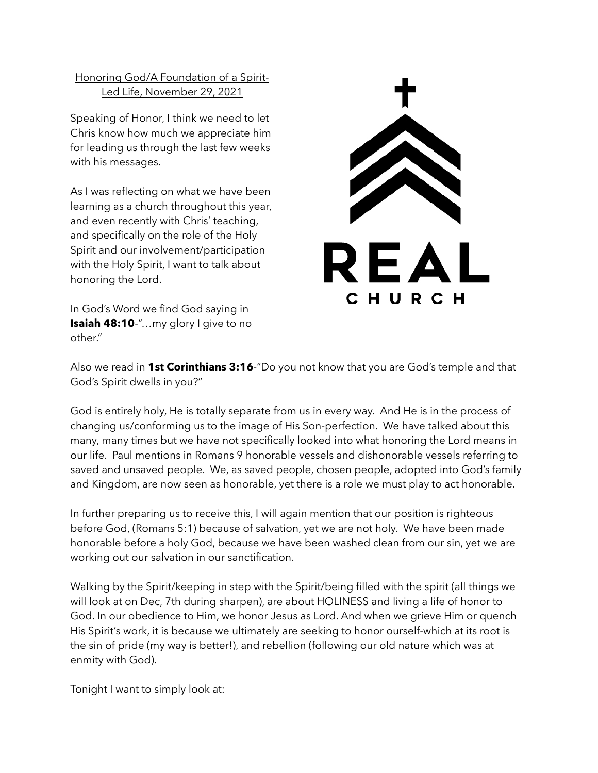Honoring God/A Foundation of a Spirit-Led Life, November 29, 2021

Speaking of Honor, I think we need to let Chris know how much we appreciate him for leading us through the last few weeks with his messages.

As I was reflecting on what we have been learning as a church throughout this year, and even recently with Chris' teaching, and specifically on the role of the Holy Spirit and our involvement/participation with the Holy Spirit, I want to talk about honoring the Lord.

In God's Word we find God saying in **Isaiah 48:10**-"…my glory I give to no other."



Also we read in **1st Corinthians 3:16**-"Do you not know that you are God's temple and that God's Spirit dwells in you?"

God is entirely holy, He is totally separate from us in every way. And He is in the process of changing us/conforming us to the image of His Son-perfection. We have talked about this many, many times but we have not specifically looked into what honoring the Lord means in our life. Paul mentions in Romans 9 honorable vessels and dishonorable vessels referring to saved and unsaved people. We, as saved people, chosen people, adopted into God's family and Kingdom, are now seen as honorable, yet there is a role we must play to act honorable.

In further preparing us to receive this, I will again mention that our position is righteous before God, (Romans 5:1) because of salvation, yet we are not holy. We have been made honorable before a holy God, because we have been washed clean from our sin, yet we are working out our salvation in our sanctification.

Walking by the Spirit/keeping in step with the Spirit/being filled with the spirit (all things we will look at on Dec, 7th during sharpen), are about HOLINESS and living a life of honor to God. In our obedience to Him, we honor Jesus as Lord. And when we grieve Him or quench His Spirit's work, it is because we ultimately are seeking to honor ourself-which at its root is the sin of pride (my way is better!), and rebellion (following our old nature which was at enmity with God).

Tonight I want to simply look at: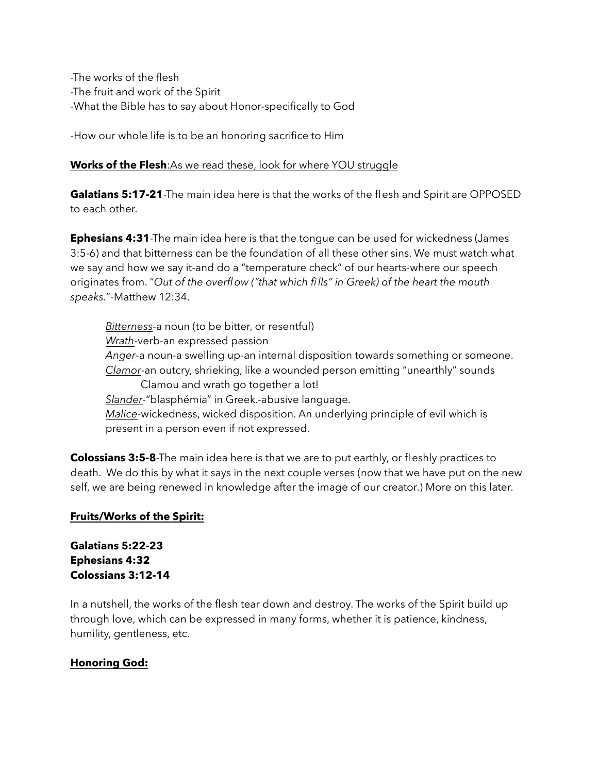-The works of the flesh -The fruit and work of the Spirit -What the Bible has to say about Honor-specifically to God

-How our whole life is to be an honoring sacrifice to Him

### **Works of the Flesh**:As we read these, look for where YOU struggle

**Galatians 5:17-21**-The main idea here is that the works of the flesh and Spirit are OPPOSED to each other.

**Ephesians 4:31**-The main idea here is that the tongue can be used for wickedness (James 3:5-6) and that bitterness can be the foundation of all these other sins. We must watch what we say and how we say it-and do a "temperature check" of our hearts-where our speech originates from. "*Out of the overflow ("that which fills" in Greek) of the heart the mouth speaks.*"-Matthew 12:34.

*Bitterness*-a noun (to be bitter, or resentful) *Wrath*-verb-an expressed passion *Anger*-a noun-a swelling up-an internal disposition towards something or someone. *Clamor*-an outcry, shrieking, like a wounded person emitting "unearthly" sounds Clamou and wrath go together a lot! *Slander*-"blasphémia" in Greek.-abusive language. *Malice*-wickedness, wicked disposition. An underlying principle of evil which is present in a person even if not expressed.

**Colossians 3:5-8**-The main idea here is that we are to put earthly, or fleshly practices to death. We do this by what it says in the next couple verses (now that we have put on the new self, we are being renewed in knowledge after the image of our creator.) More on this later.

## **Fruits/Works of the Spirit:**

# **Galatians 5:22-23 Ephesians 4:32 Colossians 3:12-14**

In a nutshell, the works of the flesh tear down and destroy. The works of the Spirit build up through love, which can be expressed in many forms, whether it is patience, kindness, humility, gentleness, etc.

## **Honoring God:**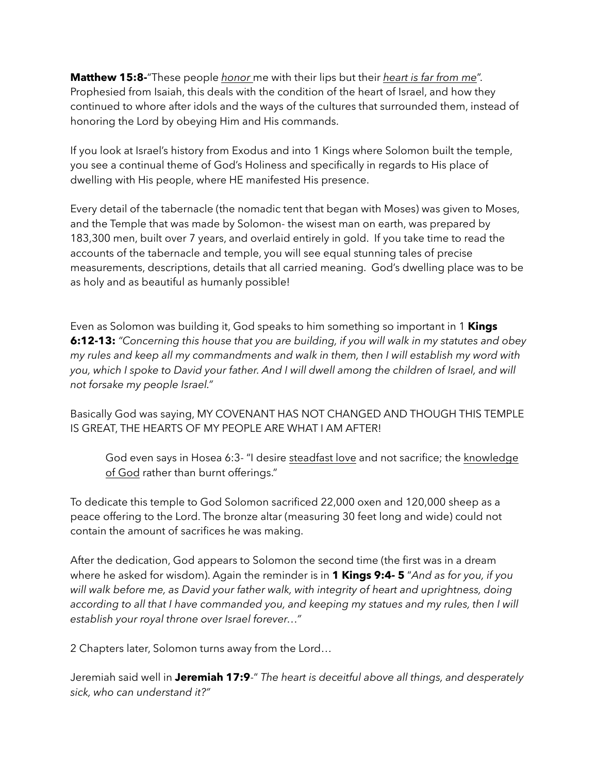**Matthew 15:8-**"These people *honor* me with their lips but their *heart is far from me*". Prophesied from Isaiah, this deals with the condition of the heart of Israel, and how they continued to whore after idols and the ways of the cultures that surrounded them, instead of honoring the Lord by obeying Him and His commands.

If you look at Israel's history from Exodus and into 1 Kings where Solomon built the temple, you see a continual theme of God's Holiness and specifically in regards to His place of dwelling with His people, where HE manifested His presence.

Every detail of the tabernacle (the nomadic tent that began with Moses) was given to Moses, and the Temple that was made by Solomon- the wisest man on earth, was prepared by 183,300 men, built over 7 years, and overlaid entirely in gold. If you take time to read the accounts of the tabernacle and temple, you will see equal stunning tales of precise measurements, descriptions, details that all carried meaning. God's dwelling place was to be as holy and as beautiful as humanly possible!

Even as Solomon was building it, God speaks to him something so important in 1 **Kings 6:12-13:** *"Concerning this house that you are building, if you will walk in my statutes and obey my rules and keep all my commandments and walk in them, then I will establish my word with*  you, which I spoke to David your father. And I will dwell among the children of Israel, and will *not forsake my people Israel."* 

Basically God was saying, MY COVENANT HAS NOT CHANGED AND THOUGH THIS TEMPLE IS GREAT, THE HEARTS OF MY PEOPLE ARE WHAT I AM AFTER!

God even says in Hosea 6:3- "I desire steadfast love and not sacrifice; the knowledge of God rather than burnt offerings."

To dedicate this temple to God Solomon sacrificed 22,000 oxen and 120,000 sheep as a peace offering to the Lord. The bronze altar (measuring 30 feet long and wide) could not contain the amount of sacrifices he was making.

After the dedication, God appears to Solomon the second time (the first was in a dream where he asked for wisdom). Again the reminder is in **1 Kings 9:4- 5** "*And as for you, if you*  will walk before me, as David your father walk, with integrity of heart and uprightness, doing according to all that I have commanded you, and keeping my statues and my rules, then I will *establish your royal throne over Israel forever…"* 

2 Chapters later, Solomon turns away from the Lord…

Jeremiah said well in **Jeremiah 17:9**-" *The heart is deceitful above all things, and desperately sick, who can understand it?"*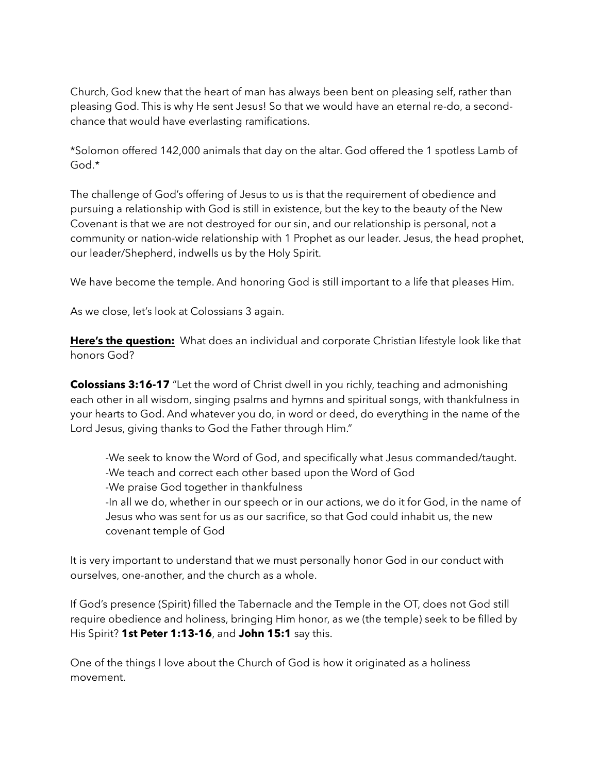Church, God knew that the heart of man has always been bent on pleasing self, rather than pleasing God. This is why He sent Jesus! So that we would have an eternal re-do, a secondchance that would have everlasting ramifications.

\*Solomon offered 142,000 animals that day on the altar. God offered the 1 spotless Lamb of God.\*

The challenge of God's offering of Jesus to us is that the requirement of obedience and pursuing a relationship with God is still in existence, but the key to the beauty of the New Covenant is that we are not destroyed for our sin, and our relationship is personal, not a community or nation-wide relationship with 1 Prophet as our leader. Jesus, the head prophet, our leader/Shepherd, indwells us by the Holy Spirit.

We have become the temple. And honoring God is still important to a life that pleases Him.

As we close, let's look at Colossians 3 again.

**Here's the question:** What does an individual and corporate Christian lifestyle look like that honors God?

**Colossians 3:16-17** "Let the word of Christ dwell in you richly, teaching and admonishing each other in all wisdom, singing psalms and hymns and spiritual songs, with thankfulness in your hearts to God. And whatever you do, in word or deed, do everything in the name of the Lord Jesus, giving thanks to God the Father through Him."

 -We seek to know the Word of God, and specifically what Jesus commanded/taught. -We teach and correct each other based upon the Word of God -We praise God together in thankfulness -In all we do, whether in our speech or in our actions, we do it for God, in the name of Jesus who was sent for us as our sacrifice, so that God could inhabit us, the new

covenant temple of God

It is very important to understand that we must personally honor God in our conduct with ourselves, one-another, and the church as a whole.

If God's presence (Spirit) filled the Tabernacle and the Temple in the OT, does not God still require obedience and holiness, bringing Him honor, as we (the temple) seek to be filled by His Spirit? **1st Peter 1:13-16**, and **John 15:1** say this.

One of the things I love about the Church of God is how it originated as a holiness movement.